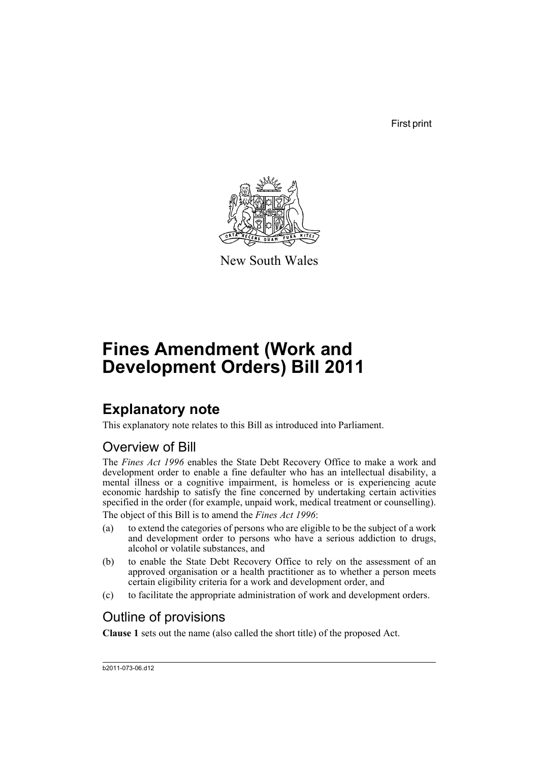First print



New South Wales

# **Fines Amendment (Work and Development Orders) Bill 2011**

## **Explanatory note**

This explanatory note relates to this Bill as introduced into Parliament.

## Overview of Bill

The *Fines Act 1996* enables the State Debt Recovery Office to make a work and development order to enable a fine defaulter who has an intellectual disability, a mental illness or a cognitive impairment, is homeless or is experiencing acute economic hardship to satisfy the fine concerned by undertaking certain activities specified in the order (for example, unpaid work, medical treatment or counselling).

The object of this Bill is to amend the *Fines Act 1996*:

- (a) to extend the categories of persons who are eligible to be the subject of a work and development order to persons who have a serious addiction to drugs, alcohol or volatile substances, and
- (b) to enable the State Debt Recovery Office to rely on the assessment of an approved organisation or a health practitioner as to whether a person meets certain eligibility criteria for a work and development order, and
- (c) to facilitate the appropriate administration of work and development orders.

## Outline of provisions

**Clause 1** sets out the name (also called the short title) of the proposed Act.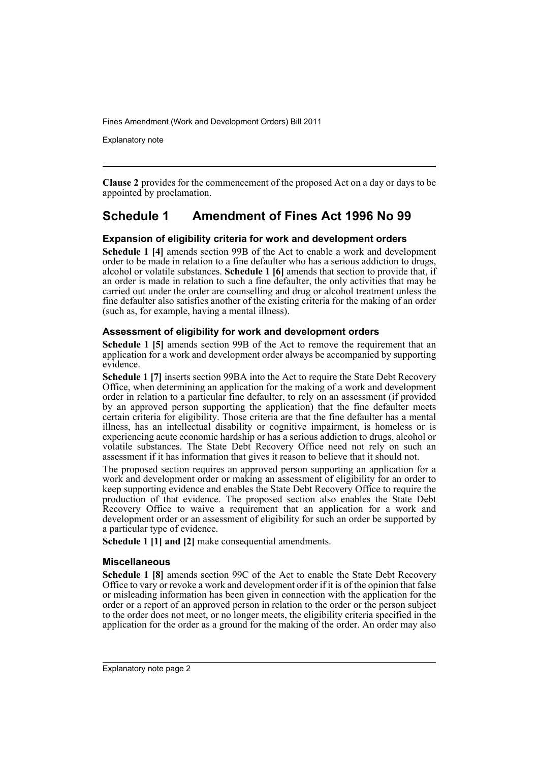Explanatory note

**Clause 2** provides for the commencement of the proposed Act on a day or days to be appointed by proclamation.

## **Schedule 1 Amendment of Fines Act 1996 No 99**

#### **Expansion of eligibility criteria for work and development orders**

**Schedule 1 [4]** amends section 99B of the Act to enable a work and development order to be made in relation to a fine defaulter who has a serious addiction to drugs, alcohol or volatile substances. **Schedule 1 [6]** amends that section to provide that, if an order is made in relation to such a fine defaulter, the only activities that may be carried out under the order are counselling and drug or alcohol treatment unless the fine defaulter also satisfies another of the existing criteria for the making of an order (such as, for example, having a mental illness).

#### **Assessment of eligibility for work and development orders**

**Schedule 1 [5]** amends section 99B of the Act to remove the requirement that an application for a work and development order always be accompanied by supporting evidence.

**Schedule 1 [7]** inserts section 99BA into the Act to require the State Debt Recovery Office, when determining an application for the making of a work and development order in relation to a particular fine defaulter, to rely on an assessment (if provided by an approved person supporting the application) that the fine defaulter meets certain criteria for eligibility. Those criteria are that the fine defaulter has a mental illness, has an intellectual disability or cognitive impairment, is homeless or is experiencing acute economic hardship or has a serious addiction to drugs, alcohol or volatile substances. The State Debt Recovery Office need not rely on such an assessment if it has information that gives it reason to believe that it should not.

The proposed section requires an approved person supporting an application for a work and development order or making an assessment of eligibility for an order to keep supporting evidence and enables the State Debt Recovery Office to require the production of that evidence. The proposed section also enables the State Debt Recovery Office to waive a requirement that an application for a work and development order or an assessment of eligibility for such an order be supported by a particular type of evidence.

**Schedule 1 [1] and [2]** make consequential amendments.

#### **Miscellaneous**

**Schedule 1 [8]** amends section 99C of the Act to enable the State Debt Recovery Office to vary or revoke a work and development order if it is of the opinion that false or misleading information has been given in connection with the application for the order or a report of an approved person in relation to the order or the person subject to the order does not meet, or no longer meets, the eligibility criteria specified in the application for the order as a ground for the making of the order. An order may also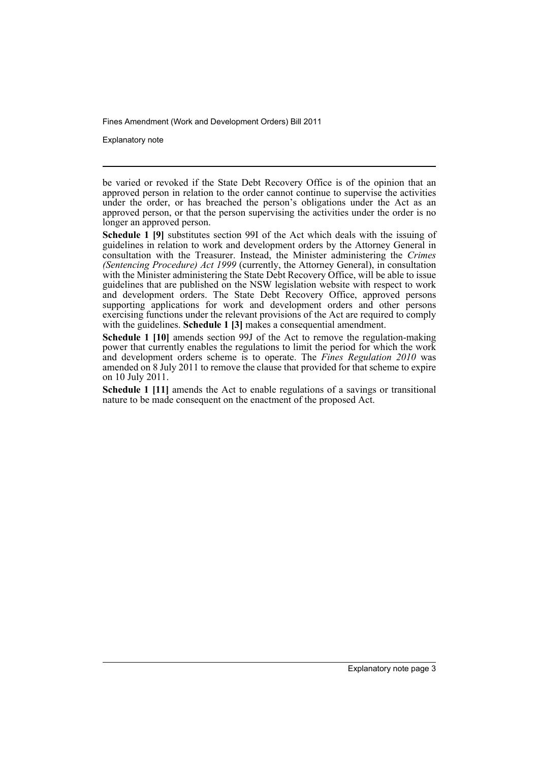Explanatory note

be varied or revoked if the State Debt Recovery Office is of the opinion that an approved person in relation to the order cannot continue to supervise the activities under the order, or has breached the person's obligations under the Act as an approved person, or that the person supervising the activities under the order is no longer an approved person.

**Schedule 1 [9]** substitutes section 99I of the Act which deals with the issuing of guidelines in relation to work and development orders by the Attorney General in consultation with the Treasurer. Instead, the Minister administering the *Crimes (Sentencing Procedure) Act 1999* (currently, the Attorney General), in consultation with the Minister administering the State Debt Recovery Office, will be able to issue guidelines that are published on the NSW legislation website with respect to work and development orders. The State Debt Recovery Office, approved persons supporting applications for work and development orders and other persons exercising functions under the relevant provisions of the Act are required to comply with the guidelines. **Schedule 1** [3] makes a consequential amendment.

**Schedule 1 [10]** amends section 99J of the Act to remove the regulation-making power that currently enables the regulations to limit the period for which the work and development orders scheme is to operate. The *Fines Regulation 2010* was amended on 8 July 2011 to remove the clause that provided for that scheme to expire on 10 July 2011.

**Schedule 1 [11]** amends the Act to enable regulations of a savings or transitional nature to be made consequent on the enactment of the proposed Act.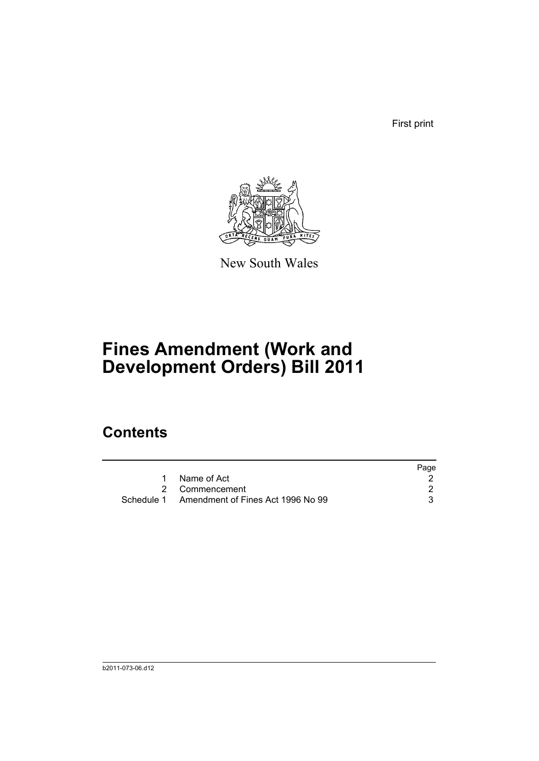First print



New South Wales

# **Fines Amendment (Work and Development Orders) Bill 2011**

## **Contents**

|                                              | Page |
|----------------------------------------------|------|
| 1 Name of Act                                |      |
| 2 Commencement                               |      |
| Schedule 1 Amendment of Fines Act 1996 No 99 |      |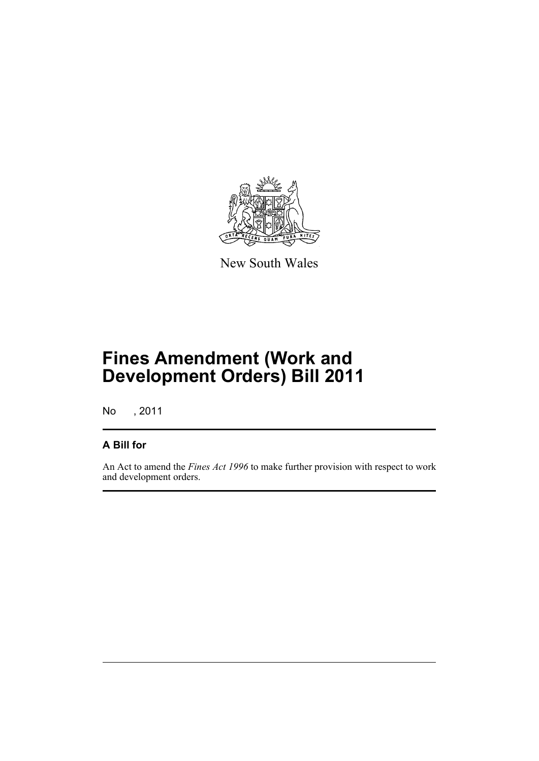

New South Wales

# **Fines Amendment (Work and Development Orders) Bill 2011**

No , 2011

### **A Bill for**

An Act to amend the *Fines Act 1996* to make further provision with respect to work and development orders.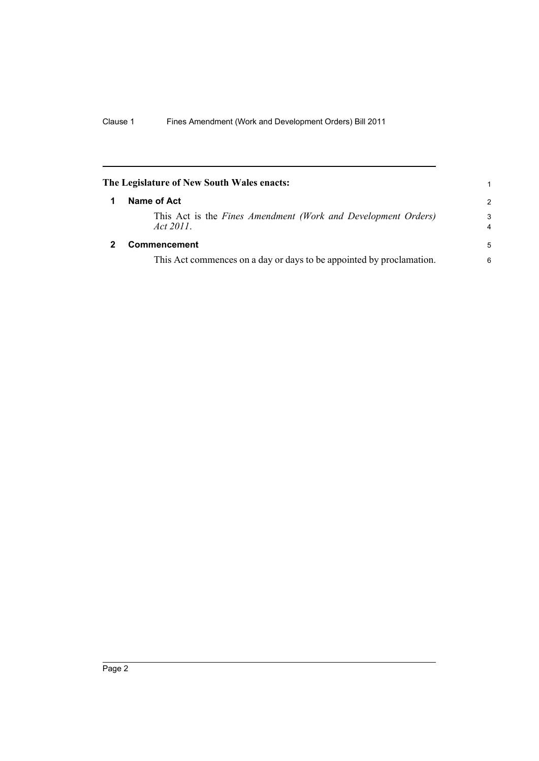<span id="page-7-1"></span><span id="page-7-0"></span>

| The Legislature of New South Wales enacts:<br>1 |                                                                            |               |  |
|-------------------------------------------------|----------------------------------------------------------------------------|---------------|--|
|                                                 | Name of Act                                                                | $\mathcal{P}$ |  |
|                                                 | This Act is the Fines Amendment (Work and Development Orders)<br>Act 2011. | 3<br>4        |  |
| 2                                               | Commencement                                                               | 5             |  |
|                                                 | This Act commences on a day or days to be appointed by proclamation.       | 6             |  |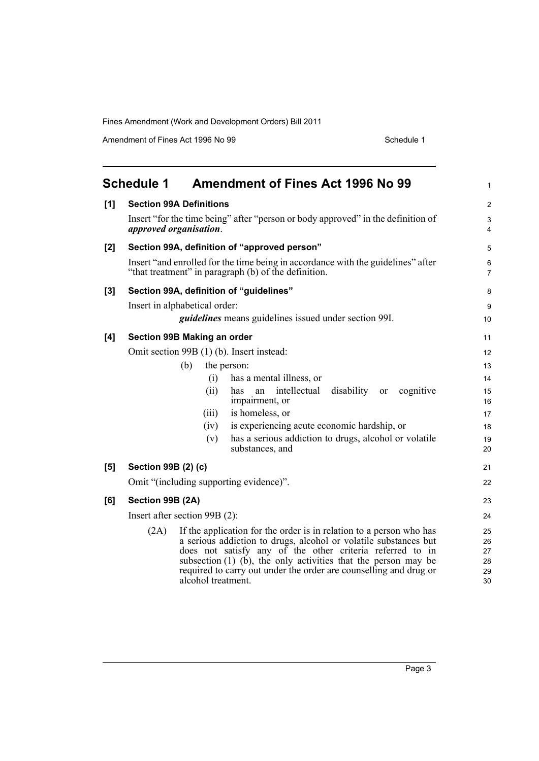Amendment of Fines Act 1996 No 99 Schedule 1

<span id="page-8-0"></span>

|       | <b>Schedule 1</b><br><b>Amendment of Fines Act 1996 No 99</b>                                                                                                                                                                                                                                                                                                                  | $\mathbf{1}$                     |
|-------|--------------------------------------------------------------------------------------------------------------------------------------------------------------------------------------------------------------------------------------------------------------------------------------------------------------------------------------------------------------------------------|----------------------------------|
| [1]   | <b>Section 99A Definitions</b>                                                                                                                                                                                                                                                                                                                                                 | 2                                |
|       | Insert "for the time being" after "person or body approved" in the definition of<br>approved organisation.                                                                                                                                                                                                                                                                     | $\mathsf 3$<br>4                 |
| [2]   | Section 99A, definition of "approved person"                                                                                                                                                                                                                                                                                                                                   | 5                                |
|       | Insert "and enrolled for the time being in accordance with the guidelines" after<br>"that treatment" in paragraph (b) of the definition.                                                                                                                                                                                                                                       | 6<br>$\overline{7}$              |
| $[3]$ | Section 99A, definition of "guidelines"                                                                                                                                                                                                                                                                                                                                        | 8                                |
|       | Insert in alphabetical order:                                                                                                                                                                                                                                                                                                                                                  | $\boldsymbol{9}$                 |
|       | <i>guidelines</i> means guidelines issued under section 99I.                                                                                                                                                                                                                                                                                                                   | 10                               |
| [4]   | Section 99B Making an order                                                                                                                                                                                                                                                                                                                                                    | 11                               |
|       | Omit section 99B (1) (b). Insert instead:                                                                                                                                                                                                                                                                                                                                      | 12                               |
|       | (b)<br>the person:                                                                                                                                                                                                                                                                                                                                                             | 13                               |
|       | has a mental illness, or<br>(i)                                                                                                                                                                                                                                                                                                                                                | 14                               |
|       | intellectual<br>disability<br>cognitive<br>(ii)<br>has<br>an<br>or<br>impairment, or                                                                                                                                                                                                                                                                                           | 15<br>16                         |
|       | is homeless, or<br>(iii)                                                                                                                                                                                                                                                                                                                                                       | 17                               |
|       | is experiencing acute economic hardship, or<br>(iv)                                                                                                                                                                                                                                                                                                                            | 18                               |
|       | has a serious addiction to drugs, alcohol or volatile<br>(v)<br>substances, and                                                                                                                                                                                                                                                                                                | 19<br>20                         |
| [5]   | Section 99B (2) (c)                                                                                                                                                                                                                                                                                                                                                            | 21                               |
|       | Omit "(including supporting evidence)".                                                                                                                                                                                                                                                                                                                                        | 22                               |
| [6]   | Section 99B (2A)                                                                                                                                                                                                                                                                                                                                                               | 23                               |
|       | Insert after section 99B (2):                                                                                                                                                                                                                                                                                                                                                  | 24                               |
|       | If the application for the order is in relation to a person who has<br>(2A)<br>a serious addiction to drugs, alcohol or volatile substances but<br>does not satisfy any of the other criteria referred to in<br>subsection $(1)$ $(b)$ , the only activities that the person may be<br>required to carry out under the order are counselling and drug or<br>alcohol treatment. | 25<br>26<br>27<br>28<br>29<br>30 |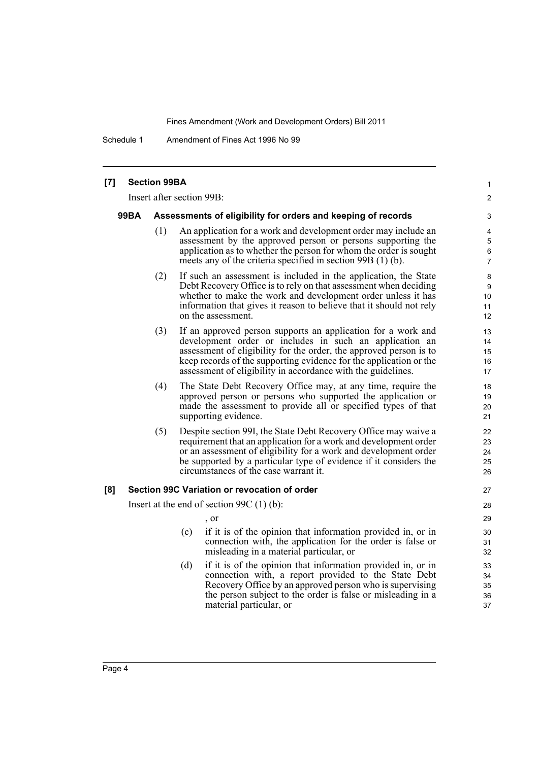Schedule 1 Amendment of Fines Act 1996 No 99

| [7] |                                                                             | <b>Section 99BA</b> |                                                                                                                                                                                                                                                                                                                                     | $\mathbf{1}$                            |
|-----|-----------------------------------------------------------------------------|---------------------|-------------------------------------------------------------------------------------------------------------------------------------------------------------------------------------------------------------------------------------------------------------------------------------------------------------------------------------|-----------------------------------------|
|     |                                                                             |                     | Insert after section 99B:                                                                                                                                                                                                                                                                                                           | $\overline{2}$                          |
|     | <b>99BA</b><br>Assessments of eligibility for orders and keeping of records |                     |                                                                                                                                                                                                                                                                                                                                     | 3                                       |
|     |                                                                             | (1)                 | An application for a work and development order may include an<br>assessment by the approved person or persons supporting the<br>application as to whether the person for whom the order is sought<br>meets any of the criteria specified in section $99B(1)(b)$ .                                                                  | 4<br>$\mathbf 5$<br>6<br>$\overline{7}$ |
|     |                                                                             | (2)                 | If such an assessment is included in the application, the State<br>Debt Recovery Office is to rely on that assessment when deciding<br>whether to make the work and development order unless it has<br>information that gives it reason to believe that it should not rely<br>on the assessment.                                    | 8<br>9<br>10<br>11<br>12                |
|     |                                                                             | (3)                 | If an approved person supports an application for a work and<br>development order or includes in such an application an<br>assessment of eligibility for the order, the approved person is to<br>keep records of the supporting evidence for the application or the<br>assessment of eligibility in accordance with the guidelines. | 13<br>14<br>15<br>16<br>17              |
|     |                                                                             | (4)                 | The State Debt Recovery Office may, at any time, require the<br>approved person or persons who supported the application or<br>made the assessment to provide all or specified types of that<br>supporting evidence.                                                                                                                | 18<br>19<br>20<br>21                    |
|     |                                                                             | (5)                 | Despite section 99I, the State Debt Recovery Office may waive a<br>requirement that an application for a work and development order<br>or an assessment of eligibility for a work and development order<br>be supported by a particular type of evidence if it considers the<br>circumstances of the case warrant it.               | 22<br>23<br>24<br>25<br>26              |
| [8] |                                                                             |                     | Section 99C Variation or revocation of order                                                                                                                                                                                                                                                                                        | 27                                      |
|     |                                                                             |                     | Insert at the end of section 99C $(1)$ (b):<br>, or                                                                                                                                                                                                                                                                                 | 28<br>29                                |
|     |                                                                             |                     | if it is of the opinion that information provided in, or in<br>(c)<br>connection with, the application for the order is false or<br>misleading in a material particular, or                                                                                                                                                         | 30<br>31<br>32                          |
|     |                                                                             |                     | (d)<br>if it is of the opinion that information provided in, or in<br>connection with, a report provided to the State Debt<br>Recovery Office by an approved person who is supervising<br>the person subject to the order is false or misleading in a<br>material particular, or                                                    | 33<br>34<br>35<br>36<br>37              |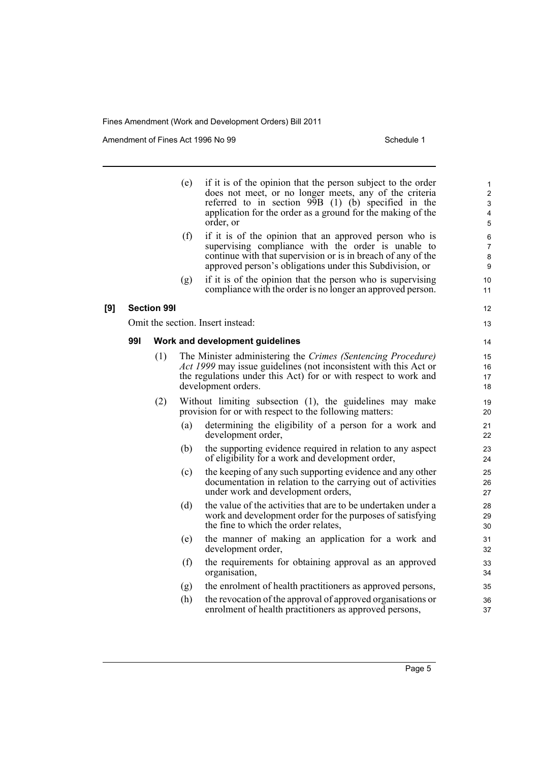Amendment of Fines Act 1996 No 99 Schedule 1

|     |     |                    | (e)<br>(f) | if it is of the opinion that the person subject to the order<br>does not meet, or no longer meets, any of the criteria<br>referred to in section $99B$ (1) (b) specified in the<br>application for the order as a ground for the making of the<br>order, or<br>if it is of the opinion that an approved person who is<br>supervising compliance with the order is unable to | 1<br>$\overline{2}$<br>$\ensuremath{\mathsf{3}}$<br>4<br>5<br>6<br>$\overline{7}$ |
|-----|-----|--------------------|------------|-----------------------------------------------------------------------------------------------------------------------------------------------------------------------------------------------------------------------------------------------------------------------------------------------------------------------------------------------------------------------------|-----------------------------------------------------------------------------------|
|     |     |                    |            | continue with that supervision or is in breach of any of the<br>approved person's obligations under this Subdivision, or                                                                                                                                                                                                                                                    | 8<br>9                                                                            |
|     |     |                    | (g)        | if it is of the opinion that the person who is supervising<br>compliance with the order is no longer an approved person.                                                                                                                                                                                                                                                    | 10<br>11                                                                          |
| [9] |     | <b>Section 991</b> |            |                                                                                                                                                                                                                                                                                                                                                                             | 12                                                                                |
|     |     |                    |            | Omit the section. Insert instead:                                                                                                                                                                                                                                                                                                                                           | 13                                                                                |
|     | 991 |                    |            | Work and development guidelines                                                                                                                                                                                                                                                                                                                                             | 14                                                                                |
|     |     | (1)                |            | The Minister administering the Crimes (Sentencing Procedure)<br>Act 1999 may issue guidelines (not inconsistent with this Act or<br>the regulations under this Act) for or with respect to work and<br>development orders.                                                                                                                                                  | 15<br>16<br>17<br>18                                                              |
|     |     | (2)                |            | Without limiting subsection (1), the guidelines may make<br>provision for or with respect to the following matters:                                                                                                                                                                                                                                                         | 19<br>20                                                                          |
|     |     |                    | (a)        | determining the eligibility of a person for a work and<br>development order,                                                                                                                                                                                                                                                                                                | 21<br>22                                                                          |
|     |     |                    | (b)        | the supporting evidence required in relation to any aspect<br>of eligibility for a work and development order,                                                                                                                                                                                                                                                              | 23<br>24                                                                          |
|     |     |                    | (c)        | the keeping of any such supporting evidence and any other<br>documentation in relation to the carrying out of activities<br>under work and development orders,                                                                                                                                                                                                              | 25<br>26<br>27                                                                    |
|     |     |                    | (d)        | the value of the activities that are to be undertaken under a<br>work and development order for the purposes of satisfying<br>the fine to which the order relates,                                                                                                                                                                                                          | 28<br>29<br>30                                                                    |
|     |     |                    | (e)        | the manner of making an application for a work and<br>development order,                                                                                                                                                                                                                                                                                                    | 31<br>32                                                                          |
|     |     |                    | (f)        | the requirements for obtaining approval as an approved<br>organisation,                                                                                                                                                                                                                                                                                                     | 33<br>34                                                                          |
|     |     |                    | (g)        | the enrolment of health practitioners as approved persons,                                                                                                                                                                                                                                                                                                                  | 35                                                                                |
|     |     |                    | (h)        | the revocation of the approval of approved organisations or<br>enrolment of health practitioners as approved persons,                                                                                                                                                                                                                                                       | 36<br>37                                                                          |